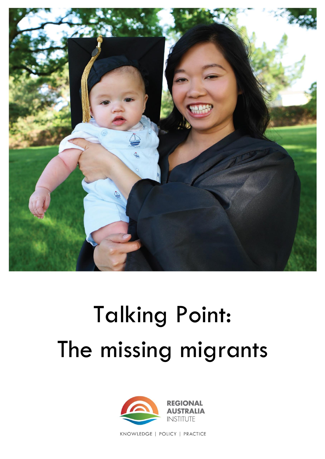

# Talking Point: The missing migrants



KNOWLEDGE | POLICY | PRACTICE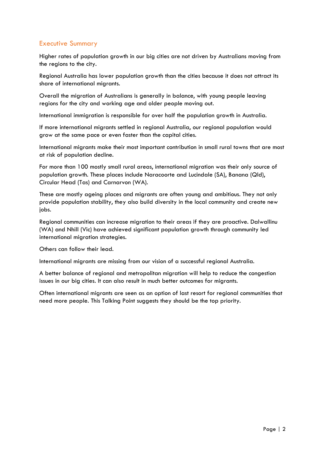## Executive Summary

Higher rates of population growth in our big cities are not driven by Australians moving from the regions to the city.

Regional Australia has lower population growth than the cities because it does not attract its share of international migrants.

Overall the migration of Australians is generally in balance, with young people leaving regions for the city and working age and older people moving out.

International immigration is responsible for over half the population growth in Australia.

If more international migrants settled in regional Australia, our regional population would grow at the same pace or even faster than the capital cities.

International migrants make their most important contribution in small rural towns that are most at risk of population decline.

For more than 100 mostly small rural areas, international migration was their only source of population growth. These places include Naracoorte and Lucindale (SA), Banana (Qld), Circular Head (Tas) and Carnarvon (WA).

These are mostly ageing places and migrants are often young and ambitious. They not only provide population stability, they also build diversity in the local community and create new jobs.

Regional communities can increase migration to their areas if they are proactive. Dalwallinu (WA) and Nhill (Vic) have achieved significant population growth through community led international migration strategies.

Others can follow their lead.

International migrants are missing from our vision of a successful regional Australia.

A better balance of regional and metropolitan migration will help to reduce the congestion issues in our big cities. It can also result in much better outcomes for migrants.

Often international migrants are seen as an option of last resort for regional communities that need more people. This Talking Point suggests they should be the top priority.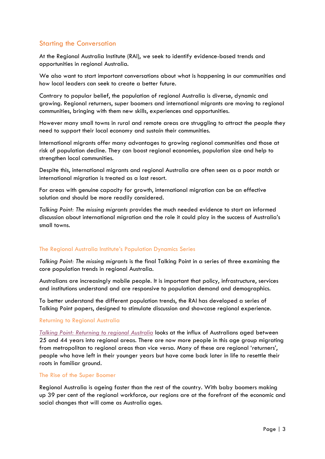## Starting the Conversation

At the Regional Australia Institute (RAI), we seek to identify evidence-based trends and opportunities in regional Australia.

We also want to start important conversations about what is happening in our communities and how local leaders can seek to create a better future.

Contrary to popular belief, the population of regional Australia is diverse, dynamic and growing. Regional returners, super boomers and international migrants are moving to regional communities, bringing with them new skills, experiences and opportunities.

However many small towns in rural and remote areas are struggling to attract the people they need to support their local economy and sustain their communities.

International migrants offer many advantages to growing regional communities and those at risk of population decline. They can boost regional economies, population size and help to strengthen local communities.

Despite this, international migrants and regional Australia are often seen as a poor match or international migration is treated as a last resort.

For areas with genuine capacity for growth, international migration can be an effective solution and should be more readily considered.

*Talking Point: The missing migrants* provides the much needed evidence to start an informed discussion about international migration and the role it could play in the success of Australia's small towns.

## The Regional Australia Institute's Population Dynamics Series

*Talking Point: The missing migrants* is the final Talking Point in a series of three examining the core population trends in regional Australia.

Australians are increasingly mobile people. It is important that policy, infrastructure, services and institutions understand and are responsive to population demand and demographics.

To better understand the different population trends, the RAI has developed a series of Talking Point papers, designed to stimulate discussion and showcase regional experience.

## Returning to Regional Australia

*[Talking Point: Returning to regional Australia](http://www.regionalaustralia.org.au/wp-content/uploads/2014/01/Final-Returners-Paper.pdf)* looks at the influx of Australians aged between 25 and 44 years into regional areas. There are now more people in this age group migrating from metropolitan to regional areas than vice versa. Many of these are regional 'returners', people who have left in their younger years but have come back later in life to resettle their roots in familiar ground.

#### The Rise of the Super Boomer

Regional Australia is ageing faster than the rest of the country. With baby boomers making up 39 per cent of the regional workforce, our regions are at the forefront of the economic and social changes that will come as Australia ages.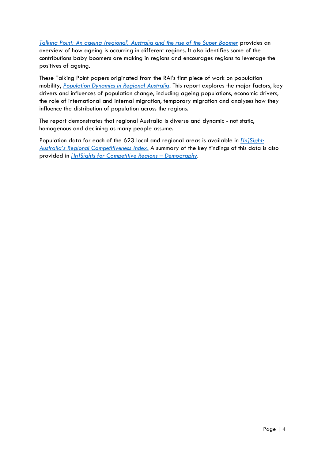*[Talking Point: An ageing \(regional\) Australia and the rise of the Super Boomer](http://www.regionalaustralia.org.au/wp-content/uploads/2014/11/Talking-Point-Super-Boomers-FINAL.pdf)* provides an overview of how ageing is occurring in different regions. It also identifies some of the contributions baby boomers are making in regions and encourages regions to leverage the positives of ageing.

These Talking Point papers originated from the RAI's first piece of work on population mobility, *Population Dynamics [in Regional Australia.](http://www.regionalaustralia.org.au/wp-content/uploads/2015/01/FINAL-Population-Dynamics-in-Regional-Australia.pdf)* This report explores the major factors, key drivers and influences of population change, including ageing populations, economic drivers, the role of international and internal migration, temporary migration and analyses how they influence the distribution of population across the regions.

The report demonstrates that regional Australia is diverse and dynamic - not static, homogenous and declining as many people assume.

Population data for each of the 623 local and regional areas is available in *[\[In\]Sight:](http://insight.regionalaustralia.org.au/)  Australia's R[egional Competitiveness Index](http://insight.regionalaustralia.org.au/)*. A summary of the key findings of this data is also provided in *[\[In\]Sights for Competitive Regions](http://www.regionalaustralia.org.au/wp-content/uploads/Insights-for-Competitive-Regions-Demography-FINAL-20150810.pdf) – Demography.*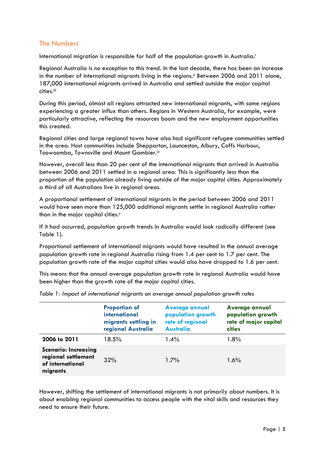## The Numbers

International migration is responsible for half of the population growth in Australia.

Regional Australia is no exception to this trend. In the last decade, there has been an increase in the number of international migrants living in the regions.<sup>ii</sup> Between 2006 and 2011 alone, 187,000 international migrants arrived in Australia and settled outside the major capital cities.<sup>iii</sup>

During this period, almost all regions attracted new international migrants, with some regions experiencing a greater influx than others. Regions in Western Australia, for example, were particularly attractive, reflecting the resources boom and the new employment opportunities this created.

Regional cities and large regional towns have also had significant refugee communities settled in the area. Host communities include Shepparton, Launceston, Albury, Coffs Harbour, Toowoomba, Townsville and Mount Gambier.iv

However, overall less than 20 per cent of the international migrants that arrived in Australia between 2006 and 2011 settled in a regional area. This is significantly less than the proportion of the population already living outside of the major capital cities. Approximately a third of all Australians live in regional areas.

A proportional settlement of international migrants in the period between 2006 and 2011 would have seen more than 125,000 additional migrants settle in regional Australia rather than in the major capital cities.

If it had occurred, population growth trends in Australia would look radically different (see Table 1).

Proportional settlement of international migrants would have resulted in the annual average population growth rate in regional Australia rising from 1.4 per cent to 1.7 per cent. The population growth rate of the major capital cities would also have dropped to 1.6 per cent.

This means that the annual average population growth rate in regional Australia would have been higher than the growth rate of the major capital cities.

|                                                                                    | <b>Proportion of</b><br>international<br>migrants settling in<br>regional Australia | <b>Average annual</b><br>population growth<br>rate of regional<br><b>Australia</b> | Average annual<br>population growth<br>rate of major capital<br><b>cities</b> |
|------------------------------------------------------------------------------------|-------------------------------------------------------------------------------------|------------------------------------------------------------------------------------|-------------------------------------------------------------------------------|
| 2006 to 2011                                                                       | 18.5%                                                                               | $1.4\%$                                                                            | 1.8%                                                                          |
| <b>Scenario: Increasing</b><br>regional settlement<br>of international<br>migrants | 32%                                                                                 | 1.7%                                                                               | $1.6\%$                                                                       |

*Table 1: Impact of international migrants on average annual population growth rates*

However, shifting the settlement of international migrants is not primarily about numbers. It is about enabling regional communities to access people with the vital skills and resources they need to ensure their future.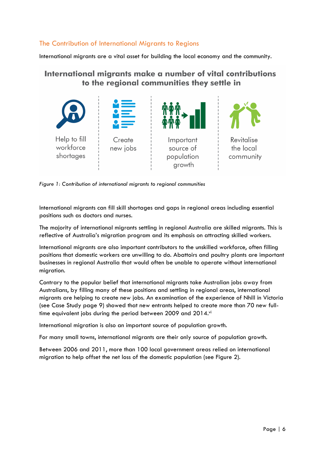## The Contribution of International Migrants to Regions

International migrants are a vital asset for building the local economy and the community.

# International migrants make a number of vital contributions to the regional communities they settle in



*Figure 1: Contribution of international migrants to regional communities* 

International migrants can fill skill shortages and gaps in regional areas including essential positions such as doctors and nurses.

The majority of international migrants settling in regional Australia are skilled migrants. This is reflective of Australia's migration program and its emphasis on attracting skilled workers.

International migrants are also important contributors to the unskilled workforce, often filling positions that domestic workers are unwilling to do. Abattoirs and poultry plants are important businesses in regional Australia that would often be unable to operate without international migration.

Contrary to the popular belief that international migrants take Australian jobs away from Australians, by filling many of these positions and settling in regional areas, international migrants are helping to create new jobs. An examination of the experience of Nhill in Victoria (see Case Study page 9) showed that new entrants helped to create more than 70 new fulltime equivalent jobs during the period between 2009 and 2014.vi

International migration is also an important source of population growth.

For many small towns, international migrants are their only source of population growth.

Between 2006 and 2011, more than 100 local government areas relied on international migration to help offset the net loss of the domestic population (see Figure 2).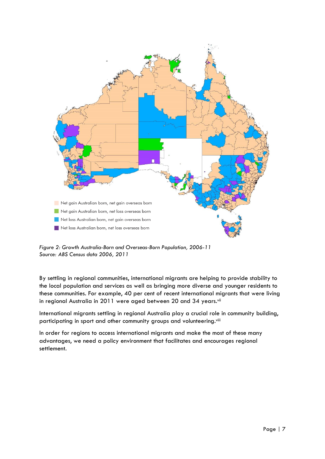

*Figure 2: Growth Australia-Born and Overseas-Born Population, 2006-11 Source: ABS Census data 2006, 2011*

By settling in regional communities, international migrants are helping to provide stability to the local population and services as well as bringing more diverse and younger residents to these communities. For example, 40 per cent of recent international migrants that were living in regional Australia in 2011 were aged between 20 and 34 years.vii

International migrants settling in regional Australia play a crucial role in community building, participating in sport and other community groups and volunteering.<sup>viii</sup>

In order for regions to access international migrants and make the most of these many advantages, we need a policy environment that facilitates and encourages regional settlement.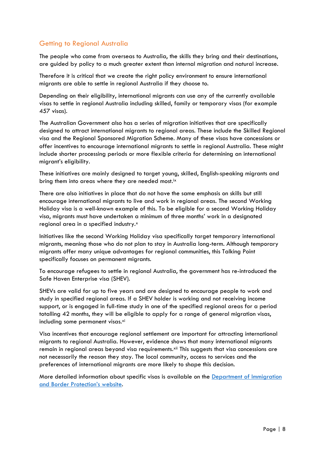# Getting to Regional Australia

The people who come from overseas to Australia, the skills they bring and their destinations, are guided by policy to a much greater extent than internal migration and natural increase.

Therefore it is critical that we create the right policy environment to ensure international migrants are able to settle in regional Australia if they choose to.

Depending on their eligibility, international migrants can use any of the currently available visas to settle in regional Australia including skilled, family or temporary visas (for example 457 visas).

The Australian Government also has a series of migration initiatives that are specifically designed to attract international migrants to regional areas. These include the Skilled Regional visa and the Regional Sponsored Migration Scheme. Many of these visas have concessions or offer incentives to encourage international migrants to settle in regional Australia. These might include shorter processing periods or more flexible criteria for determining an international migrant's eligibility.

These initiatives are mainly designed to target young, skilled, English-speaking migrants and bring them into areas where they are needed most.<sup>ix</sup>

There are also initiatives in place that do not have the same emphasis on skills but still encourage international migrants to live and work in regional areas. The second Working Holiday visa is a well-known example of this. To be eligible for a second Working Holiday visa, migrants must have undertaken a minimum of three months' work in a designated regional area in a specified industry.<sup>x</sup>

Initiatives like the second Working Holiday visa specifically target temporary international migrants, meaning those who do not plan to stay in Australia long-term. Although temporary migrants offer many unique advantages for regional communities, this Talking Point specifically focuses on permanent migrants.

To encourage refugees to settle in regional Australia, the government has re-introduced the Safe Haven Enterprise visa (SHEV).

SHEVs are valid for up to five years and are designed to encourage people to work and study in specified regional areas. If a SHEV holder is working and not receiving income support, or is engaged in full-time study in one of the specified regional areas for a period totalling 42 months, they will be eligible to apply for a range of general migration visas, including some permanent visas.<sup>xi</sup>

Visa incentives that encourage regional settlement are important for attracting international migrants to regional Australia. However, evidence shows that many international migrants remain in regional areas beyond visa requirements.xii This suggests that visa concessions are not necessarily the reason they stay. The local community, access to services and the preferences of international migrants are more likely to shape this decision.

More detailed information about specific visas is available on the [Department of Immigration](http://www.border.gov.au/)  [and Border Protection](http://www.border.gov.au/)'s website.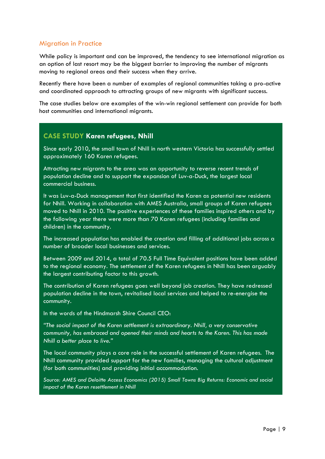## Migration in Practice

While policy is important and can be improved, the tendency to see international migration as an option of last resort may be the biggest barrier to improving the number of migrants moving to regional areas and their success when they arrive.

Recently there have been a number of examples of regional communities taking a pro-active and coordinated approach to attracting groups of new migrants with significant success.

The case studies below are examples of the win-win regional settlement can provide for both host communities and international migrants.

## **CASE STUDY Karen refugees, Nhill**

Since early 2010, the small town of Nhill in north western Victoria has successfully settled approximately 160 Karen refugees.

Attracting new migrants to the area was an opportunity to reverse recent trends of population decline and to support the expansion of Luv-a-Duck, the largest local commercial business.

It was Luv-a-Duck management that first identified the Karen as potential new residents for Nhill. Working in collaboration with AMES Australia, small groups of Karen refugees moved to Nhill in 2010. The positive experiences of these families inspired others and by the following year there were more than 70 Karen refugees (including families and children) in the community.

The increased population has enabled the creation and filling of additional jobs across a number of broader local businesses and services.

Between 2009 and 2014, a total of 70.5 Full Time Equivalent positions have been added to the regional economy. The settlement of the Karen refugees in Nhill has been arguably the largest contributing factor to this growth.

The contribution of Karen refugees goes well beyond job creation. They have redressed population decline in the town, revitalised local services and helped to re-energise the community.

In the words of the Hindmarsh Shire Council CEO:

*"The social impact of the Karen settlement is extraordinary. Nhill, a very conservative community, has embraced and opened their minds and hearts to the Karen. This has made Nhill a better place to live."*

The local community plays a core role in the successful settlement of Karen refugees. The Nhill community provided support for the new families, managing the cultural adjustment (for both communities) and providing initial accommodation.

*Source: AMES and Deloitte Access Economics (2015) Small Towns Big Returns: Economic and social impact of the Karen resettlement in Nhill*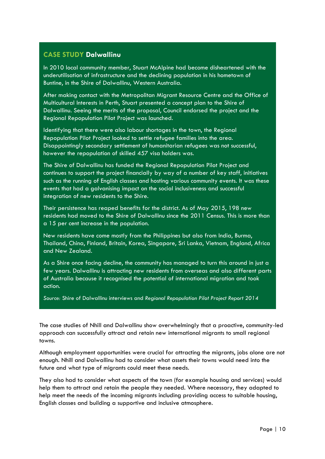## **CASE STUDY Dalwallinu**

In 2010 local community member, Stuart McAlpine had become disheartened with the underutilisation of infrastructure and the declining population in his hometown of Buntine, in the Shire of Dalwallinu, Western Australia.

After making contact with the Metropolitan Migrant Resource Centre and the Office of Multicultural Interests in Perth, Stuart presented a concept plan to the Shire of Dalwallinu. Seeing the merits of the proposal, Council endorsed the project and the Regional Repopulation Pilot Project was launched.

Identifying that there were also labour shortages in the town, the Regional Repopulation Pilot Project looked to settle refugee families into the area. Disappointingly secondary settlement of humanitarian refugees was not successful, however the repopulation of skilled 457 visa holders was.

The Shire of Dalwallinu has funded the Regional Repopulation Pilot Project and continues to support the project financially by way of a number of key staff, initiatives such as the running of English classes and hosting various community events. It was these events that had a galvanising impact on the social inclusiveness and successful integration of new residents to the Shire.

Their persistence has reaped benefits for the district. As of May 2015, 198 new residents had moved to the Shire of Dalwallinu since the 2011 Census. This is more than a 15 per cent increase in the population.

New residents have come mostly from the Philippines but also from India, Burma, Thailand, China, Finland, Britain, Korea, Singapore, Sri Lanka, Vietnam, England, Africa and New Zealand.

As a Shire once facing decline, the community has managed to turn this around in just a few years. Dalwallinu is attracting new residents from overseas and also different parts of Australia because it recognised the potential of international migration and took action.

*Source:* Shire of Dalwallinu interviews and *Regional Repopulation Pilot Project Report 2014*

The case studies of Nhill and Dalwallinu show overwhelmingly that a proactive, community-led approach can successfully attract and retain new international migrants to small regional towns.

Although employment opportunities were crucial for attracting the migrants, jobs alone are not enough. Nhill and Dalwallinu had to consider what assets their towns would need into the future and what type of migrants could meet these needs.

They also had to consider what aspects of the town (for example housing and services) would help them to attract and retain the people they needed. Where necessary, they adapted to help meet the needs of the incoming migrants including providing access to suitable housing, English classes and building a supportive and inclusive atmosphere.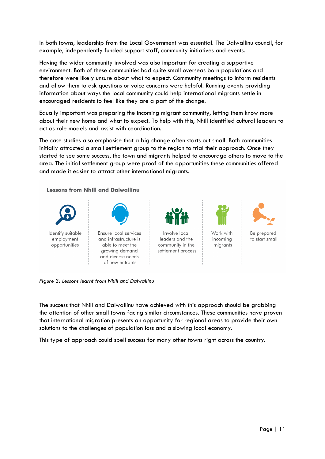In both towns, leadership from the Local Government was essential. The Dalwallinu council, for example, independently funded support staff, community initiatives and events.

Having the wider community involved was also important for creating a supportive environment. Both of these communities had quite small overseas born populations and therefore were likely unsure about what to expect. Community meetings to inform residents and allow them to ask questions or voice concerns were helpful. Running events providing information about ways the local community could help international migrants settle in encouraged residents to feel like they are a part of the change.

Equally important was preparing the incoming migrant community, letting them know more about their new home and what to expect. To help with this, Nhill identified cultural leaders to act as role models and assist with coordination.

The case studies also emphasise that a big change often starts out small. Both communities initially attracted a small settlement group to the region to trial their approach. Once they started to see some success, the town and migrants helped to encourage others to move to the area. The initial settlement group were proof of the opportunities these communities offered and made it easier to attract other international migrants.

**Lessons from Nhill and Dalwallinu** 



*Figure 3: Lessons learnt from Nhill and Dalwallinu* 

The success that Nhill and Dalwallinu have achieved with this approach should be grabbing the attention of other small towns facing similar circumstances. These communities have proven that international migration presents an opportunity for regional areas to provide their own solutions to the challenges of population loss and a slowing local economy.

This type of approach could spell success for many other towns right across the country.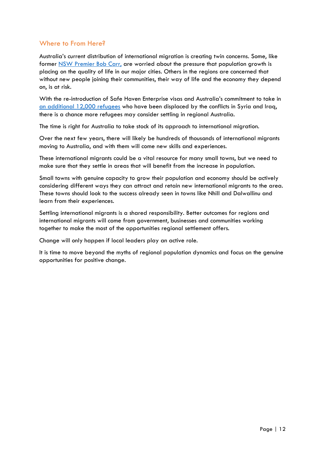## Where to From Here?

Australia's current distribution of international migration is creating twin concerns. Some, like former [NSW Premier Bob Carr,](http://www.crikey.com.au/2010/04/01/bob-carr-why-our-cities-will-really-choke-with-population-growth/) are worried about the pressure that population growth is placing on the quality of life in our major cities. Others in the regions are concerned that without new people joining their communities, their way of life and the economy they depend on, is at risk.

With the re-introduction of Safe Haven Enterprise visas and Australia's commitment to take in an additional [12,000 refugees](https://www.dss.gov.au/settlement-and-multicultural-affairs-programs-policy/syrian-iraqi-humanitarian-crisis#supported) who have been displaced by the conflicts in Syria and Iraq, there is a chance more refugees may consider settling in regional Australia.

The time is right for Australia to take stock of its approach to international migration.

Over the next few years, there will likely be hundreds of thousands of international migrants moving to Australia, and with them will come new skills and experiences.

These international migrants could be a vital resource for many small towns, but we need to make sure that they settle in areas that will benefit from the increase in population.

Small towns with genuine capacity to grow their population and economy should be actively considering different ways they can attract and retain new international migrants to the area. These towns should look to the success already seen in towns like Nhill and Dalwallinu and learn from their experiences.

Settling international migrants is a shared responsibility. Better outcomes for regions and international migrants will come from government, businesses and communities working together to make the most of the opportunities regional settlement offers.

Change will only happen if local leaders play an active role.

It is time to move beyond the myths of regional population dynamics and focus on the genuine opportunities for positive change.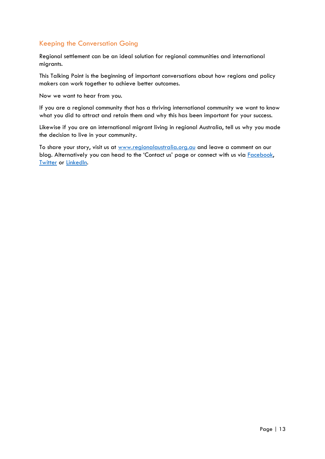# Keeping the Conversation Going

Regional settlement can be an ideal solution for regional communities and international migrants.

This Talking Point is the beginning of important conversations about how regions and policy makers can work together to achieve better outcomes.

Now we want to hear from you.

If you are a regional community that has a thriving international community we want to know what you did to attract and retain them and why this has been important for your success.

Likewise if you are an international migrant living in regional Australia, tell us why you made the decision to live in your community.

To share your story, visit us at [www.regionalaustralia.org.au](http://www.regionalaustralia.org.au/) and leave a comment on our blog. Alternatively you can head to the 'Contact us' page or connect with us via **Facebook**, **[Twitter](https://twitter.com/RegionalAus) or [LinkedIn.](http://www.linkedin.com/company/regional-australia-institute)**